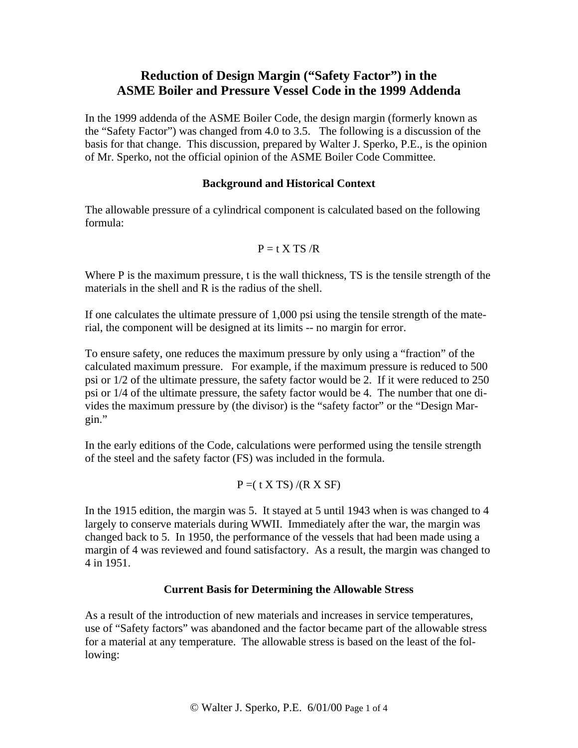# **Reduction of Design Margin ("Safety Factor") in the ASME Boiler and Pressure Vessel Code in the 1999 Addenda**

In the 1999 addenda of the ASME Boiler Code, the design margin (formerly known as the "Safety Factor") was changed from 4.0 to 3.5. The following is a discussion of the basis for that change. This discussion, prepared by Walter J. Sperko, P.E., is the opinion of Mr. Sperko, not the official opinion of the ASME Boiler Code Committee.

#### **Background and Historical Context**

The allowable pressure of a cylindrical component is calculated based on the following formula:

$$
P = t \; X \; TS \; /R
$$

Where P is the maximum pressure, t is the wall thickness, TS is the tensile strength of the materials in the shell and R is the radius of the shell.

If one calculates the ultimate pressure of 1,000 psi using the tensile strength of the material, the component will be designed at its limits -- no margin for error.

To ensure safety, one reduces the maximum pressure by only using a "fraction" of the calculated maximum pressure. For example, if the maximum pressure is reduced to 500 psi or 1/2 of the ultimate pressure, the safety factor would be 2. If it were reduced to 250 psi or 1/4 of the ultimate pressure, the safety factor would be 4. The number that one divides the maximum pressure by (the divisor) is the "safety factor" or the "Design Margin."

In the early editions of the Code, calculations were performed using the tensile strength of the steel and the safety factor (FS) was included in the formula.

$$
P = (t X TS) / (R X SF)
$$

In the 1915 edition, the margin was 5. It stayed at 5 until 1943 when is was changed to 4 largely to conserve materials during WWII. Immediately after the war, the margin was changed back to 5. In 1950, the performance of the vessels that had been made using a margin of 4 was reviewed and found satisfactory. As a result, the margin was changed to 4 in 1951.

# **Current Basis for Determining the Allowable Stress**

As a result of the introduction of new materials and increases in service temperatures, use of "Safety factors" was abandoned and the factor became part of the allowable stress for a material at any temperature. The allowable stress is based on the least of the following: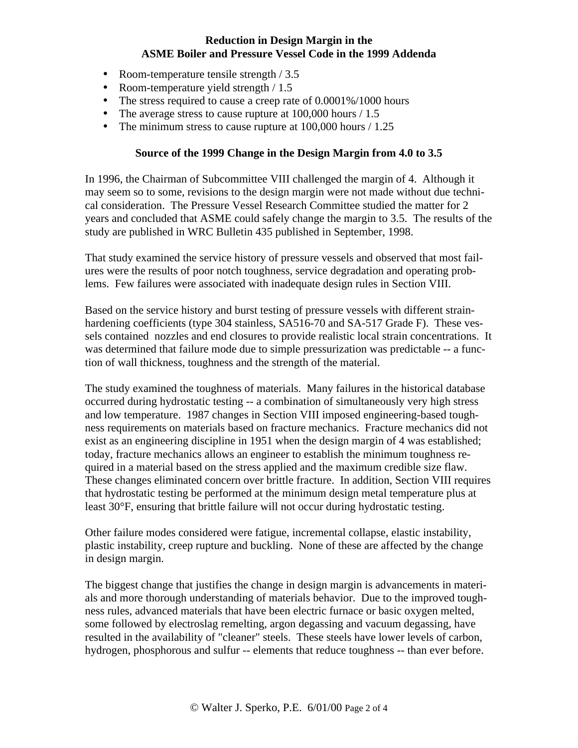## **Reduction in Design Margin in the ASME Boiler and Pressure Vessel Code in the 1999 Addenda**

- Room-temperature tensile strength / 3.5
- Room-temperature yield strength / 1.5
- The stress required to cause a creep rate of 0.0001%/1000 hours
- The average stress to cause rupture at  $100,000$  hours  $/ 1.5$
- The minimum stress to cause rupture at 100,000 hours / 1.25

#### **Source of the 1999 Change in the Design Margin from 4.0 to 3.5**

In 1996, the Chairman of Subcommittee VIII challenged the margin of 4. Although it may seem so to some, revisions to the design margin were not made without due technical consideration. The Pressure Vessel Research Committee studied the matter for 2 years and concluded that ASME could safely change the margin to 3.5. The results of the study are published in WRC Bulletin 435 published in September, 1998.

That study examined the service history of pressure vessels and observed that most failures were the results of poor notch toughness, service degradation and operating problems. Few failures were associated with inadequate design rules in Section VIII.

Based on the service history and burst testing of pressure vessels with different strainhardening coefficients (type 304 stainless, SA516-70 and SA-517 Grade F). These vessels contained nozzles and end closures to provide realistic local strain concentrations. It was determined that failure mode due to simple pressurization was predictable -- a function of wall thickness, toughness and the strength of the material.

The study examined the toughness of materials. Many failures in the historical database occurred during hydrostatic testing -- a combination of simultaneously very high stress and low temperature. 1987 changes in Section VIII imposed engineering-based toughness requirements on materials based on fracture mechanics. Fracture mechanics did not exist as an engineering discipline in 1951 when the design margin of 4 was established; today, fracture mechanics allows an engineer to establish the minimum toughness required in a material based on the stress applied and the maximum credible size flaw. These changes eliminated concern over brittle fracture. In addition, Section VIII requires that hydrostatic testing be performed at the minimum design metal temperature plus at least 30°F, ensuring that brittle failure will not occur during hydrostatic testing.

Other failure modes considered were fatigue, incremental collapse, elastic instability, plastic instability, creep rupture and buckling. None of these are affected by the change in design margin.

The biggest change that justifies the change in design margin is advancements in materials and more thorough understanding of materials behavior. Due to the improved toughness rules, advanced materials that have been electric furnace or basic oxygen melted, some followed by electroslag remelting, argon degassing and vacuum degassing, have resulted in the availability of "cleaner" steels. These steels have lower levels of carbon, hydrogen, phosphorous and sulfur -- elements that reduce toughness -- than ever before.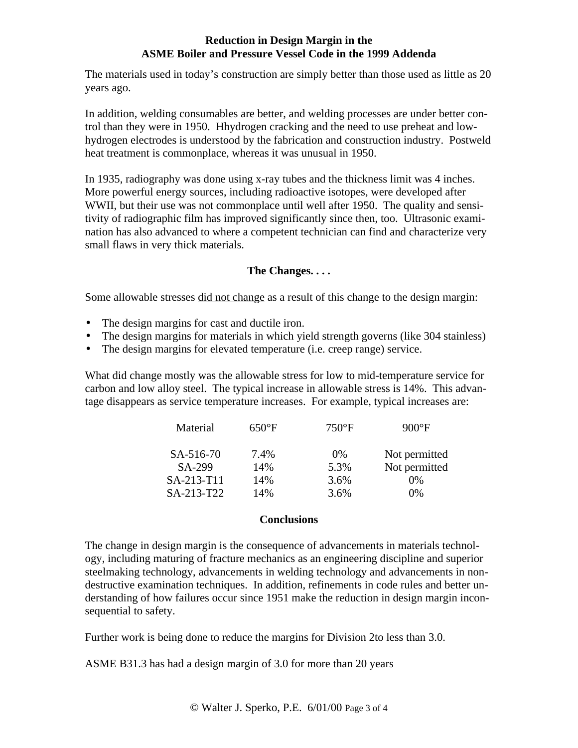### **Reduction in Design Margin in the ASME Boiler and Pressure Vessel Code in the 1999 Addenda**

The materials used in today's construction are simply better than those used as little as 20 years ago.

In addition, welding consumables are better, and welding processes are under better control than they were in 1950. Hhydrogen cracking and the need to use preheat and lowhydrogen electrodes is understood by the fabrication and construction industry. Postweld heat treatment is commonplace, whereas it was unusual in 1950.

In 1935, radiography was done using x-ray tubes and the thickness limit was 4 inches. More powerful energy sources, including radioactive isotopes, were developed after WWII, but their use was not commonplace until well after 1950. The quality and sensitivity of radiographic film has improved significantly since then, too. Ultrasonic examination has also advanced to where a competent technician can find and characterize very small flaws in very thick materials.

# **The Changes. . . .**

Some allowable stresses did not change as a result of this change to the design margin:

- The design margins for cast and ductile iron.
- The design margins for materials in which yield strength governs (like 304 stainless)
- The design margins for elevated temperature (i.e. creep range) service.

What did change mostly was the allowable stress for low to mid-temperature service for carbon and low alloy steel. The typical increase in allowable stress is 14%. This advantage disappears as service temperature increases. For example, typical increases are:

| Material   | $650^{\circ}$ F | $750^{\circ}$ F | $900^{\circ}F$ |
|------------|-----------------|-----------------|----------------|
| SA-516-70  | 7.4%            | $0\%$           | Not permitted  |
| SA-299     | 14%             | 5.3%            | Not permitted  |
| SA-213-T11 | 14%             | 3.6%            | $0\%$          |
| SA-213-T22 | 14%             | 3.6%            | 0%             |

#### **Conclusions**

The change in design margin is the consequence of advancements in materials technology, including maturing of fracture mechanics as an engineering discipline and superior steelmaking technology, advancements in welding technology and advancements in nondestructive examination techniques. In addition, refinements in code rules and better understanding of how failures occur since 1951 make the reduction in design margin inconsequential to safety.

Further work is being done to reduce the margins for Division 2to less than 3.0.

ASME B31.3 has had a design margin of 3.0 for more than 20 years